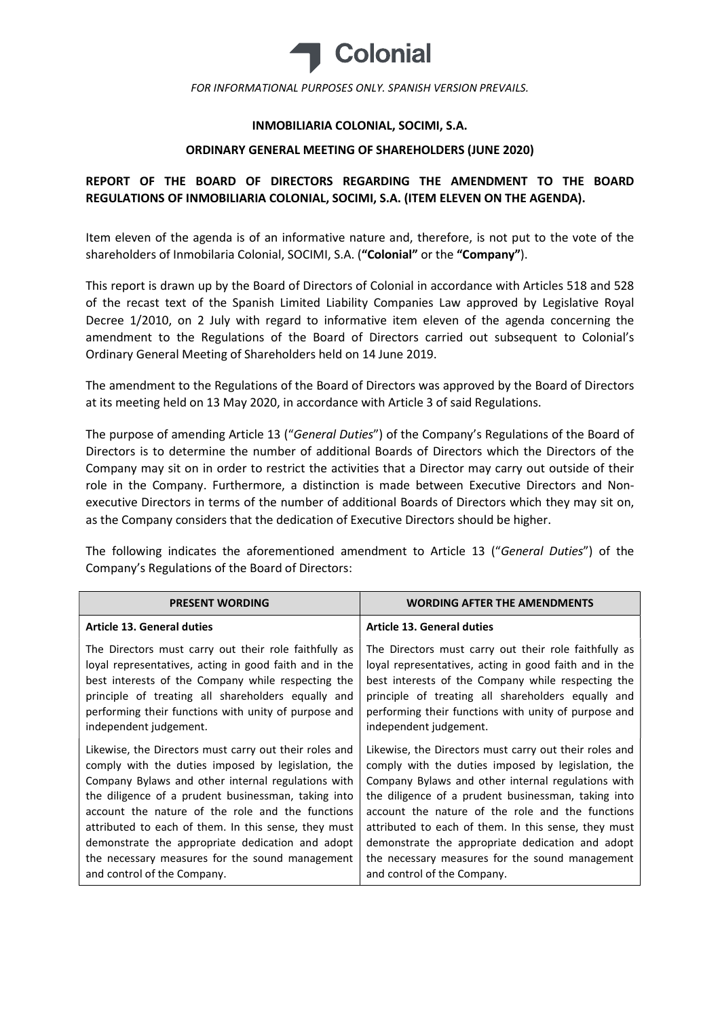

FOR INFORMATIONAL PURPOSES ONLY. SPANISH VERSION PREVAILS.

### INMOBILIARIA COLONIAL, SOCIMI, S.A.

#### ORDINARY GENERAL MEETING OF SHAREHOLDERS (JUNE 2020)

# REPORT OF THE BOARD OF DIRECTORS REGARDING THE AMENDMENT TO THE BOARD REGULATIONS OF INMOBILIARIA COLONIAL, SOCIMI, S.A. (ITEM ELEVEN ON THE AGENDA).

Item eleven of the agenda is of an informative nature and, therefore, is not put to the vote of the shareholders of Inmobilaria Colonial, SOCIMI, S.A. ("Colonial" or the "Company").

This report is drawn up by the Board of Directors of Colonial in accordance with Articles 518 and 528 of the recast text of the Spanish Limited Liability Companies Law approved by Legislative Royal Decree 1/2010, on 2 July with regard to informative item eleven of the agenda concerning the amendment to the Regulations of the Board of Directors carried out subsequent to Colonial's Ordinary General Meeting of Shareholders held on 14 June 2019.

The amendment to the Regulations of the Board of Directors was approved by the Board of Directors at its meeting held on 13 May 2020, in accordance with Article 3 of said Regulations.

The purpose of amending Article 13 ("General Duties") of the Company's Regulations of the Board of Directors is to determine the number of additional Boards of Directors which the Directors of the Company may sit on in order to restrict the activities that a Director may carry out outside of their role in the Company. Furthermore, a distinction is made between Executive Directors and Nonexecutive Directors in terms of the number of additional Boards of Directors which they may sit on, as the Company considers that the dedication of Executive Directors should be higher.

The following indicates the aforementioned amendment to Article 13 ("General Duties") of the Company's Regulations of the Board of Directors:

| <b>PRESENT WORDING</b>                                 | <b>WORDING AFTER THE AMENDMENTS</b>                    |
|--------------------------------------------------------|--------------------------------------------------------|
| <b>Article 13. General duties</b>                      | <b>Article 13. General duties</b>                      |
| The Directors must carry out their role faithfully as  | The Directors must carry out their role faithfully as  |
| loyal representatives, acting in good faith and in the | loyal representatives, acting in good faith and in the |
| best interests of the Company while respecting the     | best interests of the Company while respecting the     |
| principle of treating all shareholders equally and     | principle of treating all shareholders equally and     |
| performing their functions with unity of purpose and   | performing their functions with unity of purpose and   |
| independent judgement.                                 | independent judgement.                                 |
| Likewise, the Directors must carry out their roles and | Likewise, the Directors must carry out their roles and |
| comply with the duties imposed by legislation, the     | comply with the duties imposed by legislation, the     |
| Company Bylaws and other internal regulations with     | Company Bylaws and other internal regulations with     |
| the diligence of a prudent businessman, taking into    | the diligence of a prudent businessman, taking into    |
| account the nature of the role and the functions       | account the nature of the role and the functions       |
| attributed to each of them. In this sense, they must   | attributed to each of them. In this sense, they must   |
| demonstrate the appropriate dedication and adopt       | demonstrate the appropriate dedication and adopt       |
| the necessary measures for the sound management        | the necessary measures for the sound management        |
| and control of the Company.                            | and control of the Company.                            |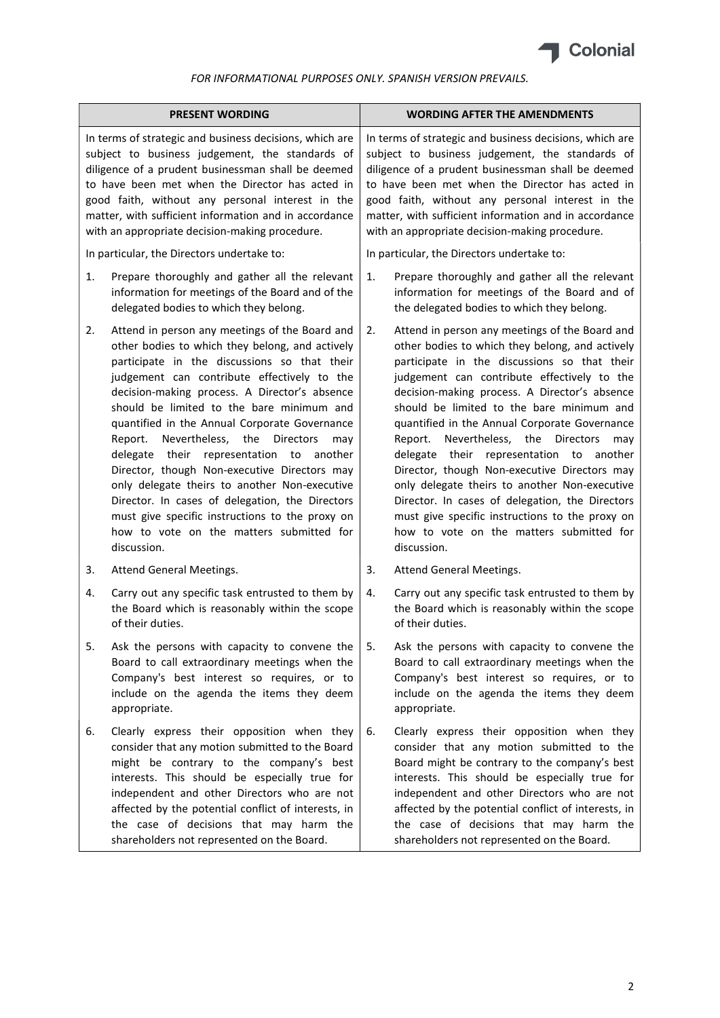

### FOR INFORMATIONAL PURPOSES ONLY. SPANISH VERSION PREVAILS.

| <b>PRESENT WORDING</b>                                                                                                                                                                                                                                                                                                                                                             |                                                                                                                                                                                                                                                                                                                                                                                                                                                                                                                                                                                                                                                                                                                                   | <b>WORDING AFTER THE AMENDMENTS</b>                                                                                                                                                                                                                                                                                                                                                |                                                                                                                                                                                                                                                                                                                                                                                                                                                                                                                                                                                                                                                                                                                             |
|------------------------------------------------------------------------------------------------------------------------------------------------------------------------------------------------------------------------------------------------------------------------------------------------------------------------------------------------------------------------------------|-----------------------------------------------------------------------------------------------------------------------------------------------------------------------------------------------------------------------------------------------------------------------------------------------------------------------------------------------------------------------------------------------------------------------------------------------------------------------------------------------------------------------------------------------------------------------------------------------------------------------------------------------------------------------------------------------------------------------------------|------------------------------------------------------------------------------------------------------------------------------------------------------------------------------------------------------------------------------------------------------------------------------------------------------------------------------------------------------------------------------------|-----------------------------------------------------------------------------------------------------------------------------------------------------------------------------------------------------------------------------------------------------------------------------------------------------------------------------------------------------------------------------------------------------------------------------------------------------------------------------------------------------------------------------------------------------------------------------------------------------------------------------------------------------------------------------------------------------------------------------|
| In terms of strategic and business decisions, which are<br>subject to business judgement, the standards of<br>diligence of a prudent businessman shall be deemed<br>to have been met when the Director has acted in<br>good faith, without any personal interest in the<br>matter, with sufficient information and in accordance<br>with an appropriate decision-making procedure. |                                                                                                                                                                                                                                                                                                                                                                                                                                                                                                                                                                                                                                                                                                                                   | In terms of strategic and business decisions, which are<br>subject to business judgement, the standards of<br>diligence of a prudent businessman shall be deemed<br>to have been met when the Director has acted in<br>good faith, without any personal interest in the<br>matter, with sufficient information and in accordance<br>with an appropriate decision-making procedure. |                                                                                                                                                                                                                                                                                                                                                                                                                                                                                                                                                                                                                                                                                                                             |
| In particular, the Directors undertake to:                                                                                                                                                                                                                                                                                                                                         |                                                                                                                                                                                                                                                                                                                                                                                                                                                                                                                                                                                                                                                                                                                                   | In particular, the Directors undertake to:                                                                                                                                                                                                                                                                                                                                         |                                                                                                                                                                                                                                                                                                                                                                                                                                                                                                                                                                                                                                                                                                                             |
| 1.                                                                                                                                                                                                                                                                                                                                                                                 | Prepare thoroughly and gather all the relevant<br>information for meetings of the Board and of the<br>delegated bodies to which they belong.                                                                                                                                                                                                                                                                                                                                                                                                                                                                                                                                                                                      | 1.                                                                                                                                                                                                                                                                                                                                                                                 | Prepare thoroughly and gather all the relevant<br>information for meetings of the Board and of<br>the delegated bodies to which they belong.                                                                                                                                                                                                                                                                                                                                                                                                                                                                                                                                                                                |
| 2.                                                                                                                                                                                                                                                                                                                                                                                 | Attend in person any meetings of the Board and<br>other bodies to which they belong, and actively<br>participate in the discussions so that their<br>judgement can contribute effectively to the<br>decision-making process. A Director's absence<br>should be limited to the bare minimum and<br>quantified in the Annual Corporate Governance<br>Nevertheless,<br>Report.<br>the<br><b>Directors</b><br>may<br>delegate their<br>representation to<br>another<br>Director, though Non-executive Directors may<br>only delegate theirs to another Non-executive<br>Director. In cases of delegation, the Directors<br>must give specific instructions to the proxy on<br>how to vote on the matters submitted for<br>discussion. | 2.                                                                                                                                                                                                                                                                                                                                                                                 | Attend in person any meetings of the Board and<br>other bodies to which they belong, and actively<br>participate in the discussions so that their<br>judgement can contribute effectively to the<br>decision-making process. A Director's absence<br>should be limited to the bare minimum and<br>quantified in the Annual Corporate Governance<br>Nevertheless, the<br>Report.<br><b>Directors</b><br>may<br>delegate their<br>representation to another<br>Director, though Non-executive Directors may<br>only delegate theirs to another Non-executive<br>Director. In cases of delegation, the Directors<br>must give specific instructions to the proxy on<br>how to vote on the matters submitted for<br>discussion. |
| 3.                                                                                                                                                                                                                                                                                                                                                                                 | Attend General Meetings.                                                                                                                                                                                                                                                                                                                                                                                                                                                                                                                                                                                                                                                                                                          | 3.                                                                                                                                                                                                                                                                                                                                                                                 | Attend General Meetings.                                                                                                                                                                                                                                                                                                                                                                                                                                                                                                                                                                                                                                                                                                    |
| 4.                                                                                                                                                                                                                                                                                                                                                                                 | Carry out any specific task entrusted to them by<br>the Board which is reasonably within the scope<br>of their duties.                                                                                                                                                                                                                                                                                                                                                                                                                                                                                                                                                                                                            | 4.                                                                                                                                                                                                                                                                                                                                                                                 | Carry out any specific task entrusted to them by<br>the Board which is reasonably within the scope<br>of their duties.                                                                                                                                                                                                                                                                                                                                                                                                                                                                                                                                                                                                      |
| 5.                                                                                                                                                                                                                                                                                                                                                                                 | Ask the persons with capacity to convene the<br>Board to call extraordinary meetings when the<br>Company's best interest so requires, or to<br>include on the agenda the items they deem<br>appropriate.                                                                                                                                                                                                                                                                                                                                                                                                                                                                                                                          | 5.                                                                                                                                                                                                                                                                                                                                                                                 | Ask the persons with capacity to convene the<br>Board to call extraordinary meetings when the<br>Company's best interest so requires, or to<br>include on the agenda the items they deem<br>appropriate.                                                                                                                                                                                                                                                                                                                                                                                                                                                                                                                    |
| 6.                                                                                                                                                                                                                                                                                                                                                                                 | Clearly express their opposition when they<br>consider that any motion submitted to the Board<br>might be contrary to the company's best<br>interests. This should be especially true for<br>independent and other Directors who are not<br>affected by the potential conflict of interests, in<br>the case of decisions that may harm the<br>shareholders not represented on the Board.                                                                                                                                                                                                                                                                                                                                          | 6.                                                                                                                                                                                                                                                                                                                                                                                 | Clearly express their opposition when they<br>consider that any motion submitted to the<br>Board might be contrary to the company's best<br>interests. This should be especially true for<br>independent and other Directors who are not<br>affected by the potential conflict of interests, in<br>the case of decisions that may harm the<br>shareholders not represented on the Board.                                                                                                                                                                                                                                                                                                                                    |